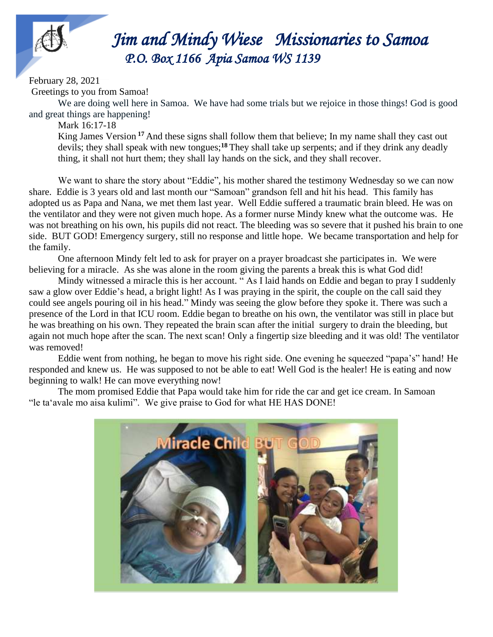

## *Jim Jim and Mindy Wiese Missionaries to Samoa P.O. Box 1166 Apia Samoa WS 1139*

February 28, 2021

Greetings to you from Samoa!

We are doing well here in Samoa. We have had some trials but we rejoice in those things! God is good and great things are happening!

Mark 16:17-18

King James Version **<sup>17</sup>** And these signs shall follow them that believe; In my name shall they cast out devils; they shall speak with new tongues;**<sup>18</sup>** They shall take up serpents; and if they drink any deadly thing, it shall not hurt them; they shall lay hands on the sick, and they shall recover.

We want to share the story about "Eddie", his mother shared the testimony Wednesday so we can now share. Eddie is 3 years old and last month our "Samoan" grandson fell and hit his head. This family has adopted us as Papa and Nana, we met them last year. Well Eddie suffered a traumatic brain bleed. He was on the ventilator and they were not given much hope. As a former nurse Mindy knew what the outcome was. He was not breathing on his own, his pupils did not react. The bleeding was so severe that it pushed his brain to one side. BUT GOD! Emergency surgery, still no response and little hope. We became transportation and help for the family.

One afternoon Mindy felt led to ask for prayer on a prayer broadcast she participates in. We were believing for a miracle. As she was alone in the room giving the parents a break this is what God did!

Mindy witnessed a miracle this is her account. " As I laid hands on Eddie and began to pray I suddenly saw a glow over Eddie's head, a bright light! As I was praying in the spirit, the couple on the call said they could see angels pouring oil in his head." Mindy was seeing the glow before they spoke it. There was such a presence of the Lord in that ICU room. Eddie began to breathe on his own, the ventilator was still in place but he was breathing on his own. They repeated the brain scan after the initial surgery to drain the bleeding, but again not much hope after the scan. The next scan! Only a fingertip size bleeding and it was old! The ventilator was removed!

Eddie went from nothing, he began to move his right side. One evening he squeezed "papa's" hand! He responded and knew us. He was supposed to not be able to eat! Well God is the healer! He is eating and now beginning to walk! He can move everything now!

The mom promised Eddie that Papa would take him for ride the car and get ice cream. In Samoan "le taʻavale mo aisa kulimi". We give praise to God for what HE HAS DONE!

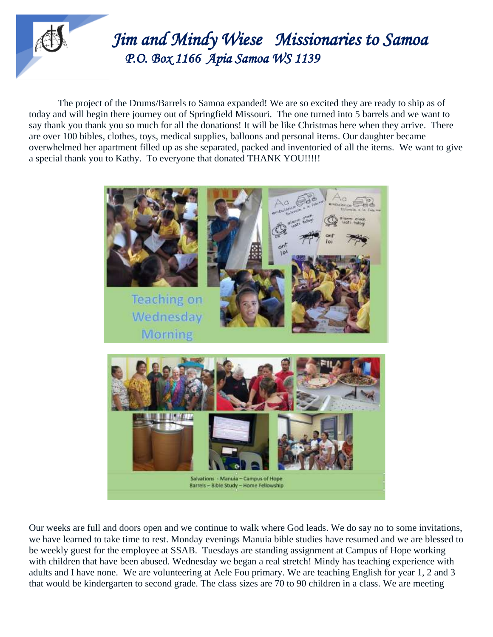

## *Jim Jim and Mindy Wiese Missionaries to Samoa P.O. Box 1166 Apia Samoa WS 1139*

The project of the Drums/Barrels to Samoa expanded! We are so excited they are ready to ship as of today and will begin there journey out of Springfield Missouri. The one turned into 5 barrels and we want to say thank you thank you so much for all the donations! It will be like Christmas here when they arrive. There are over 100 bibles, clothes, toys, medical supplies, balloons and personal items. Our daughter became overwhelmed her apartment filled up as she separated, packed and inventoried of all the items. We want to give a special thank you to Kathy. To everyone that donated THANK YOU!!!!!



Our weeks are full and doors open and we continue to walk where God leads. We do say no to some invitations, we have learned to take time to rest. Monday evenings Manuia bible studies have resumed and we are blessed to be weekly guest for the employee at SSAB. Tuesdays are standing assignment at Campus of Hope working with children that have been abused. Wednesday we began a real stretch! Mindy has teaching experience with adults and I have none. We are volunteering at Aele Fou primary. We are teaching English for year 1, 2 and 3 that would be kindergarten to second grade. The class sizes are 70 to 90 children in a class. We are meeting